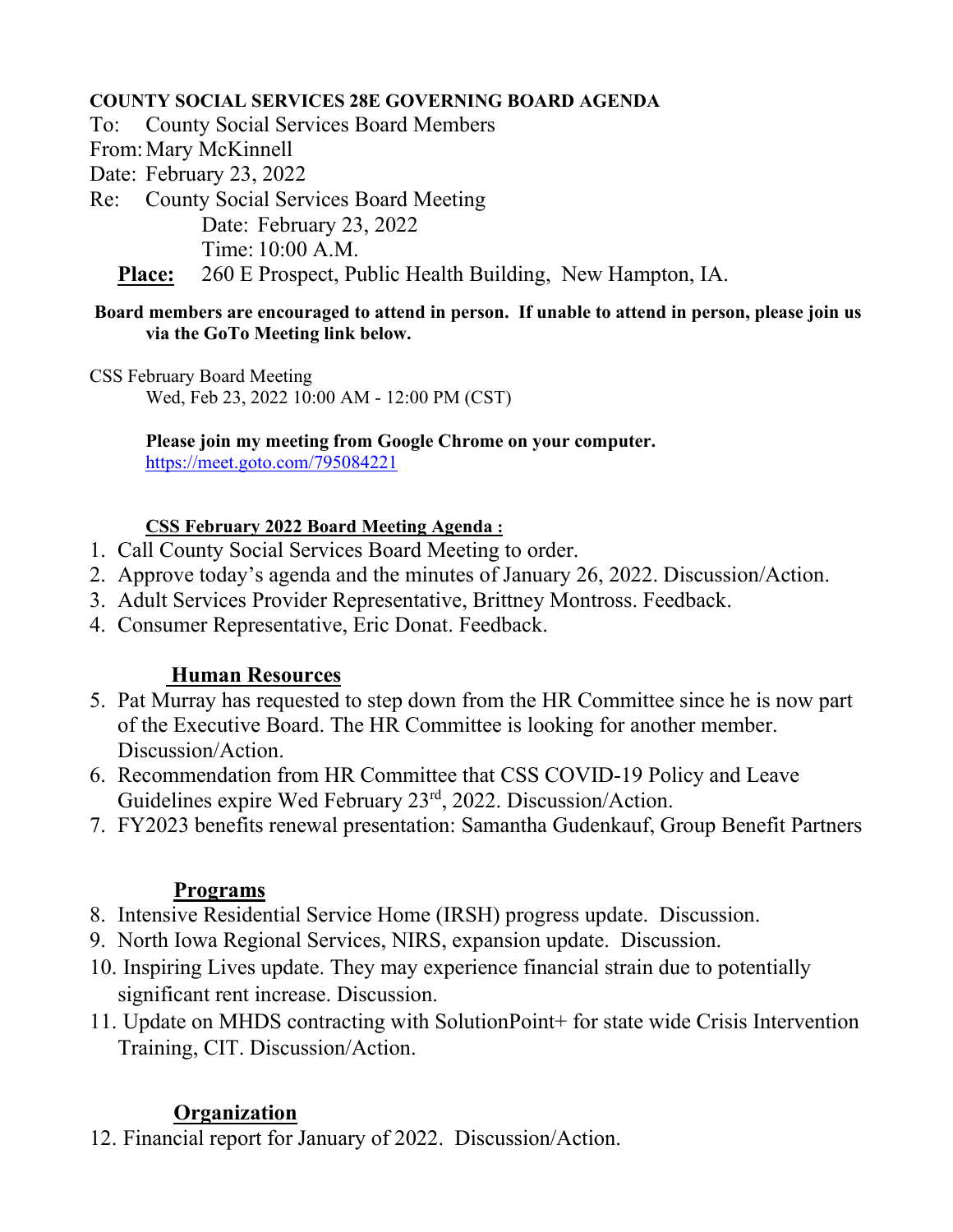#### **COUNTY SOCIAL SERVICES 28E GOVERNING BOARD AGENDA**

To: County Social Services Board Members

From:Mary McKinnell

Date: February 23, 2022

Re: County Social Services Board Meeting

Date: February 23, 2022

Time: 10:00 A.M.

**Place:** 260 E Prospect, Public Health Building, New Hampton, IA.

#### **Board members are encouraged to attend in person. If unable to attend in person, please join us via the GoTo Meeting link below.**

CSS February Board Meeting Wed, Feb 23, 2022 10:00 AM - 12:00 PM (CST)

> **Please join my meeting from Google Chrome on your computer.**  <https://meet.goto.com/795084221>

## **CSS February 2022 Board Meeting Agenda :**

- 1. Call County Social Services Board Meeting to order.
- 2. Approve today's agenda and the minutes of January 26, 2022. Discussion/Action.
- 3. Adult Services Provider Representative, Brittney Montross. Feedback.
- 4. Consumer Representative, Eric Donat. Feedback.

# **Human Resources**

- 5. Pat Murray has requested to step down from the HR Committee since he is now part of the Executive Board. The HR Committee is looking for another member. Discussion/Action.
- 6. Recommendation from HR Committee that CSS COVID-19 Policy and Leave Guidelines expire Wed February 23rd, 2022. Discussion/Action.
- 7. FY2023 benefits renewal presentation: Samantha Gudenkauf, Group Benefit Partners

## **Programs**

- 8. Intensive Residential Service Home (IRSH) progress update. Discussion.
- 9. North Iowa Regional Services, NIRS, expansion update. Discussion.
- 10. Inspiring Lives update. They may experience financial strain due to potentially significant rent increase. Discussion.
- 11. Update on MHDS contracting with SolutionPoint+ for state wide Crisis Intervention Training, CIT. Discussion/Action.

# **Organization**

12. Financial report for January of 2022. Discussion/Action.